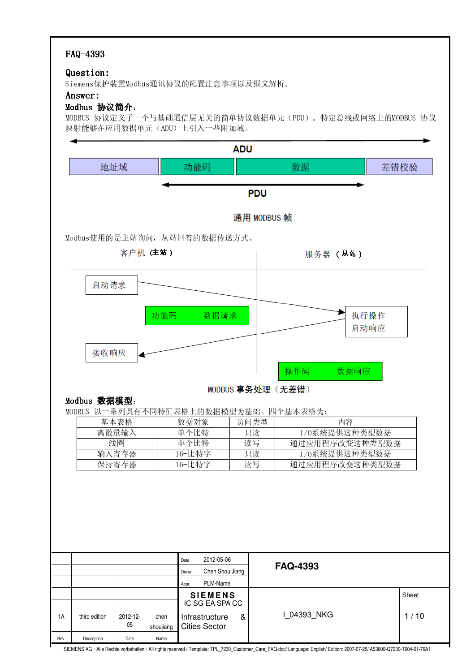## FAQ-4393

#### Question: Question:

-- 
 

#### Answer: Answer:

### $Modbus$  协议简介:

 $\mu$ onnuo 耳迦声双子一太巨廿rèi?孟唐已毛英品炫黄耳迦要甩黄二(nnu)一起声黄雄畫品放玉晶10nnuo 耳迦一十 映射能够在应用数据单元(ADU)上引入一些附加域。

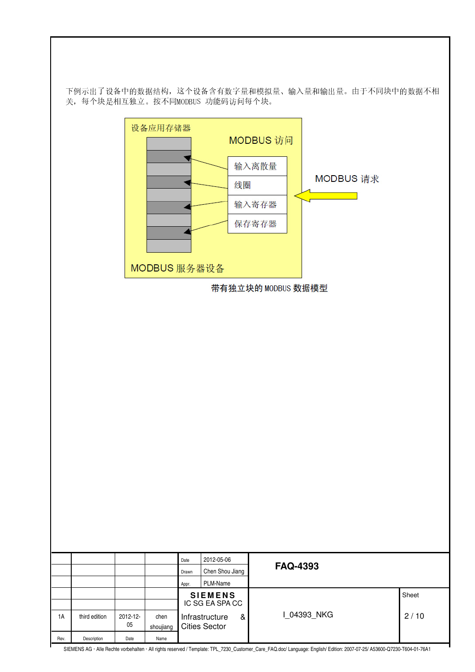下例示出了设备中的数据结构, 这个设备含有数字量和模拟量、输入量和输出量。由于不同块中的数据不相 关,每个块是相互独立。按不同MODBUS 功能码访问每个块。

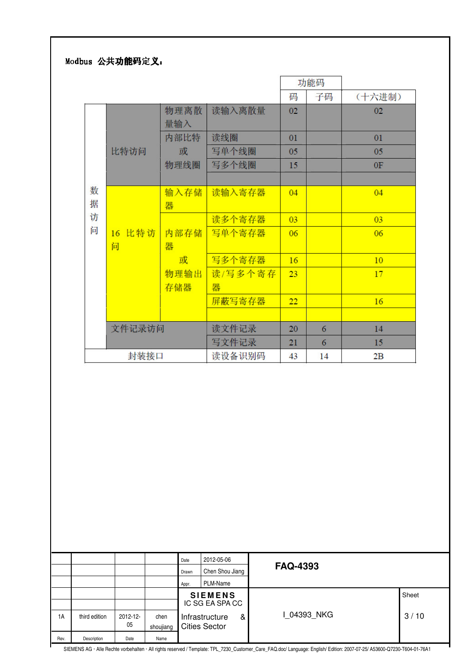## Modbus 公共功能码定义:

|   |        |      |         |    | 功能码 |        |
|---|--------|------|---------|----|-----|--------|
|   |        |      |         | 码  | 子码  | (十六进制) |
|   |        | 物理离散 | 读输入离散量  | 02 |     | 02     |
|   |        | 量输入  |         |    |     |        |
|   |        | 内部比特 | 读线圈     | 01 |     | 01     |
|   | 比特访问   | 或    | 写单个线圈   | 05 |     | 05     |
|   |        | 物理线圈 | 写多个线圈   | 15 |     | 0F     |
|   |        |      |         |    |     |        |
| 数 |        | 输入存储 | 读输入寄存器  | 04 |     | 04     |
| 据 | 16 比特访 | 器    |         |    |     |        |
| 访 |        |      | 读多个寄存器  | 03 |     | 03     |
| 问 |        | 内部存储 | 写单个寄存器  | 06 |     | 06     |
|   | 问      | 器    |         |    |     |        |
|   |        | 或    | 写多个寄存器  | 16 |     | 10     |
|   |        | 物理输出 | 读/写多个寄存 | 23 |     | 17     |
|   |        | 存储器  | 器       |    |     |        |
|   |        |      | 屏蔽写寄存器  | 22 |     | 16     |
|   |        |      |         |    |     |        |
|   | 文件记录访问 |      | 读文件记录   | 20 | 6   | 14     |
|   |        |      | 写文件记录   | 21 | 6   | 15     |
|   | 封装接口   |      | 读设备识别码  | 43 | 14  | 2B     |

|      |               |          |           | Date<br>Drawn | 2012-05-06<br>Chen Shou Jiang     |   | <b>FAQ-4393</b>                                                                                                |       |
|------|---------------|----------|-----------|---------------|-----------------------------------|---|----------------------------------------------------------------------------------------------------------------|-------|
|      |               |          |           | Appr.         | PLM-Name                          |   |                                                                                                                |       |
|      |               |          |           |               | <b>SIEMENS</b><br>IC SG EA SPA CC |   |                                                                                                                | Sheet |
|      |               |          |           |               |                                   |   |                                                                                                                |       |
| 1A   | third edition | 2012-12- | chen      |               | Infrastructure                    | & | 1 04393 NKG                                                                                                    | 3/10  |
|      |               | 05       | shoujiang |               | <b>Cities Sector</b>              |   |                                                                                                                |       |
| Rev. | Description   | Date     | Name      |               |                                   |   |                                                                                                                |       |
|      |               |          |           |               |                                   |   | OUTLIEND A DOUGLASS AND THE AUTHOR TO THE TOTAL OF THE CONTACT AND TO A TAAL AND TO A TABLE ON TO A TABLE TO A |       |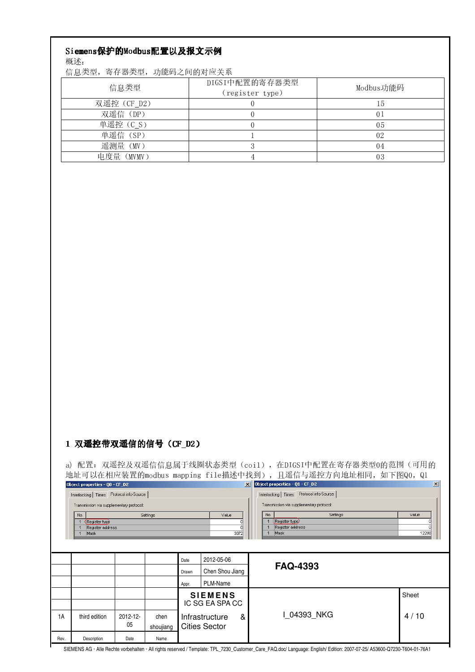# Siemens保护的Modbus配置以及报文示例

概述:

信息类型, 寄存器类型, 功能码之间的对应关系

| 信息类型        | DIGSI中配置的寄存器类型<br>(register type) | Modbus功能码 |
|-------------|-----------------------------------|-----------|
| 双遥控 (CF D2) |                                   | Tp        |
| 双遥信(DP)     |                                   | 01        |
| 单遥控 (C S)   |                                   | 05        |
| 单遥信 (SP)    |                                   | 02        |
| 遥测量(MV)     |                                   | 04        |
| 电度量(MVMV)   |                                   | 03        |

### 1 双遥控带双遥信的信号 (CF\_D2)

a) 配置: 双遥控及双遥信信息属于线圈状态类型 (coil), 在DIGSI中配置在寄存器类型0的范围 (可用的 地址可以在相应装置的modbus mapping file描述中找到), 且遥信与遥控方向地址相同, 如下图Q0, Q1  $\mathbf{X}$  Obje  $\vert x \vert$ 

 $\overline{\vee}$ alue

7

 $\overline{\mathfrak{o}}$ 

 $\frac{1}{3072}$ 

In

| Object properties - 00 - CF D2          |  |
|-----------------------------------------|--|
| Interlocking Times Protocol info-Source |  |

Transmission via supplementary protocol:

 $\sqrt{N_{\rm O}}$ .

Settings 1 Register type<br>1 Register address<br>1 Mask

| tt properties - ut - ur-pz              |                                         |  |  |  |  |  |  |  |  |  |  |
|-----------------------------------------|-----------------------------------------|--|--|--|--|--|--|--|--|--|--|
|                                         | Protocol info-Source<br>erlocking Times |  |  |  |  |  |  |  |  |  |  |
| ransmission via supplementary protocol: |                                         |  |  |  |  |  |  |  |  |  |  |
| No.                                     | Settings                                |  |  |  |  |  |  |  |  |  |  |
| 1                                       | Register type)                          |  |  |  |  |  |  |  |  |  |  |
| 1                                       | Register address                        |  |  |  |  |  |  |  |  |  |  |
|                                         |                                         |  |  |  |  |  |  |  |  |  |  |

Value

70

 $\overline{\mathbf{0}}$ 

12288

|      |               |          |           | Date  | 2012-05-06<br>Chen Shou Jiang     |   | <b>FAQ-4393</b> |       |  |
|------|---------------|----------|-----------|-------|-----------------------------------|---|-----------------|-------|--|
|      |               |          |           | Drawn |                                   |   |                 |       |  |
|      |               |          |           | Appr. | PLM-Name                          |   |                 |       |  |
|      |               |          |           |       | <b>SIEMENS</b><br>IC SG EA SPA CC |   |                 | Sheet |  |
|      |               |          |           |       |                                   |   |                 |       |  |
| 1A   | third edition | 2012-12- | chen      |       | Infrastructure                    | & | I 04393 NKG     | 4/10  |  |
|      |               | 05       | shoujiang |       | <b>Cities Sector</b>              |   |                 |       |  |
| Rev. | Description   | Date     | Name      |       |                                   |   |                 |       |  |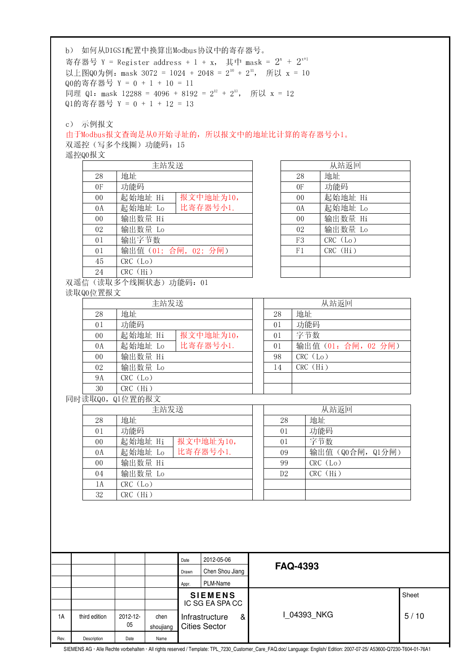|        |                      |                                 | Q0的寄存器号 Y = 0 + 1 + 10 = 11 |  | 以上图Q0为例: mask 3072 = 1024 + 2048 = 2 <sup>10</sup> + 2 <sup>11</sup> , 所以 x = 10 |                |                                              |                       |  |  |  |
|--------|----------------------|---------------------------------|-----------------------------|--|----------------------------------------------------------------------------------|----------------|----------------------------------------------|-----------------------|--|--|--|
|        |                      |                                 |                             |  | 同理 Q1: mask 12288 = 4096 + 8192 = $2^{12}$ + $2^{13}$ , 所以 x = 12                |                |                                              |                       |  |  |  |
|        |                      | Q1的寄存器号 Y = 0 + 1 + 12 = 13     |                             |  |                                                                                  |                |                                              |                       |  |  |  |
|        |                      |                                 |                             |  |                                                                                  |                |                                              |                       |  |  |  |
|        | c) 示例报文              |                                 |                             |  |                                                                                  |                |                                              |                       |  |  |  |
|        |                      |                                 |                             |  | 由于Modbus报文查询是从0开始寻址的, 所以报文中的地址比计算的寄存器号小1。                                        |                |                                              |                       |  |  |  |
|        |                      | 双遥控(写多个线圈)功能码: 15               |                             |  |                                                                                  |                |                                              |                       |  |  |  |
| 遥控Q0报文 |                      |                                 |                             |  |                                                                                  |                |                                              |                       |  |  |  |
|        |                      |                                 | 主站发送                        |  |                                                                                  |                |                                              | 从站返回                  |  |  |  |
|        | 28                   | 地址                              |                             |  |                                                                                  |                | 28                                           | 地址                    |  |  |  |
|        | 0F                   | 功能码                             |                             |  |                                                                                  |                | 0F                                           | 功能码                   |  |  |  |
|        | 0 <sub>0</sub>       | 起始地址 Hi                         |                             |  | 报文中地址为10,                                                                        |                | 0 <sub>0</sub>                               | 起始地址 Hi               |  |  |  |
|        | 0A                   | 起始地址 Lo                         |                             |  | 比寄存器号小1.                                                                         |                | 0A                                           | 起始地址 Lo               |  |  |  |
|        | 0 <sub>0</sub>       | 输出数量 Hi                         |                             |  |                                                                                  |                | 0 <sub>0</sub>                               | 输出数量 Hi               |  |  |  |
|        | 02                   | 输出数量 Lo                         |                             |  |                                                                                  |                | 02                                           | 输出数量 Lo<br>$CRC$ (Lo) |  |  |  |
|        | 01                   | 输出字节数                           |                             |  |                                                                                  |                | F <sub>3</sub>                               |                       |  |  |  |
|        | 01                   |                                 |                             |  | 输出值 (01: 合闸, 02: 分闸)                                                             |                | F1                                           | CRC (Hi)              |  |  |  |
|        | 45                   | CRC (Lo)<br>CRC (Hi)            |                             |  |                                                                                  |                |                                              |                       |  |  |  |
|        | 24                   |                                 |                             |  |                                                                                  |                |                                              |                       |  |  |  |
|        | 读取Q0位置报文             | 双遥信(读取多个线圈状态)功能码: 01            |                             |  |                                                                                  |                |                                              |                       |  |  |  |
|        |                      |                                 | 主站发送                        |  |                                                                                  |                |                                              | 从站返回                  |  |  |  |
|        | 28                   | 地址                              |                             |  |                                                                                  | 28             | 地址                                           |                       |  |  |  |
|        | 0 <sub>1</sub>       |                                 |                             |  |                                                                                  |                | 功能码<br>01                                    |                       |  |  |  |
|        |                      |                                 | 功能码<br>起始地址 Hi<br>报文中地址为10, |  |                                                                                  |                |                                              |                       |  |  |  |
|        | 0 <sub>0</sub>       |                                 |                             |  |                                                                                  |                | 字节数<br>0 <sub>1</sub><br>输出值 (01: 合闸, 02 分闸) |                       |  |  |  |
|        | 0A                   | 起始地址 Lo                         |                             |  | 比寄存器号小1.                                                                         | 01             |                                              |                       |  |  |  |
|        | 0 <sub>0</sub><br>02 | 输出数量 Hi<br>输出数量 Lo              |                             |  |                                                                                  |                | CRC (Lo)<br>98                               |                       |  |  |  |
|        | <b>9A</b>            | CRC (Lo)                        |                             |  |                                                                                  |                | CRC (Hi)<br>14                               |                       |  |  |  |
|        | 30                   | CRC (Hi)                        |                             |  |                                                                                  |                |                                              |                       |  |  |  |
|        |                      | 同时读取Q0, Q1位置的报文                 |                             |  |                                                                                  |                |                                              |                       |  |  |  |
|        |                      |                                 | 主站发送                        |  |                                                                                  |                |                                              | 从站返回                  |  |  |  |
|        | 28                   | 地址                              |                             |  |                                                                                  | 28             |                                              | 地址                    |  |  |  |
|        | 0 <sub>1</sub>       | 功能码                             |                             |  |                                                                                  | 0 <sub>1</sub> |                                              | 功能码                   |  |  |  |
|        | 0 <sub>0</sub>       | 起始地址 Hi                         |                             |  | 报文中地址为10,                                                                        | 01             |                                              | 字节数                   |  |  |  |
|        | 0A                   | 起始地址 Lo                         |                             |  | 比寄存器号小1.                                                                         | 09             |                                              | 输出值(Q0合闸, Q1分闸)       |  |  |  |
|        | 0 <sub>0</sub>       | 输出数量 Hi                         |                             |  |                                                                                  | 99             |                                              | CRC (Lo)              |  |  |  |
|        |                      |                                 |                             |  |                                                                                  |                |                                              |                       |  |  |  |
|        |                      |                                 |                             |  |                                                                                  |                |                                              |                       |  |  |  |
|        |                      |                                 |                             |  |                                                                                  |                |                                              |                       |  |  |  |
|        |                      |                                 |                             |  |                                                                                  |                |                                              |                       |  |  |  |
|        | 04<br>1A<br>32       | 输出数量 Lo<br>CRC (Lo)<br>CRC (Hi) |                             |  |                                                                                  | D <sub>2</sub> |                                              | CRC (Hi)              |  |  |  |

 $\mathbf{r}$ 

ŀ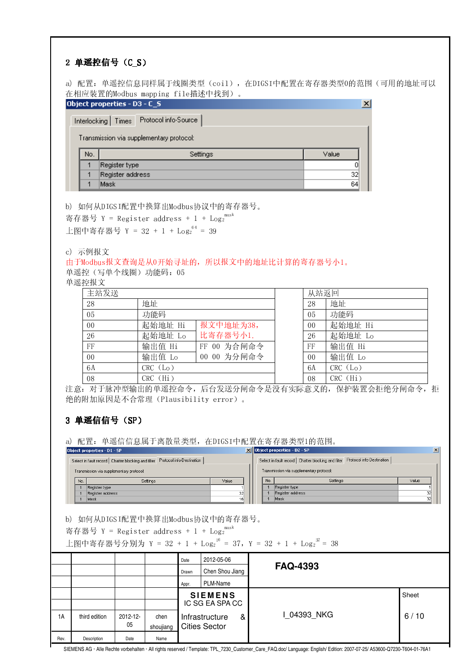## 2 单遥控信号 (C\_S)

a) 配置: 单遥控信息同样属于线圈类型 (coi1), 在DIGSI中配置在寄存器类型0的范围 (可用的地址可以 在相应装置的Modbus mapping file描述中找到)。

|     | 0bject properties - D3 - C_S                |       |
|-----|---------------------------------------------|-------|
|     | Interlocking   Times   Protocol info-Source |       |
|     | Transmission via supplementary protocol:    |       |
| No. | Settings                                    | Value |
|     | Register type                               |       |
| 4   | Register address                            | 32    |
| и   | Mask                                        | 64    |

b) 如何从DIGSI配置中换算出Modbus协议中的寄存器号。

寄存器号 Y = Register address + 1 + Log<sub>2</sub><sup>mask</sup>

上图中寄存器号 Y = 32 + 1 + Log<sub>2</sub><sup>64</sup> = 39

c) 示例报文

由于Modbus报文查询是从0开始寻址的,所以报文中的地址比计算的寄存器号小1。

单遥控(写单个线圈)功能码: 05

单遥控报文

| 主站发送           |          |             | 从站返回           |              |
|----------------|----------|-------------|----------------|--------------|
| -28            | 地址       |             | 28             | 地址           |
| -05            | 功能码      |             | 05             | 功能码          |
| 0 <sub>0</sub> | 起始地址 Hi  | 报文中地址为38,   | 0 <sub>0</sub> | 起始地址 Hi      |
| -26            | 起始地址 Lo  | 比寄存器号小1.    | 26             | 起始地址 Lo      |
| FF             | 输出值 Hi   | FF 00 为合闸命令 | FF             | 输出值 Hi       |
| $00\,$         | 输出值 Lo   | 00 00 为分闸命令 | 0 <sub>0</sub> | 输出值 Lo       |
| 6A             | CRC (Lo) |             | 6A             | $CRC$ $(L0)$ |
| -08            | CRC (Hi) |             | 08             | $CRC$ $(Hi)$ |

注意: 对于脉冲型输出的单遥控命令, 后台发送分闸命令是没有实际意义的, 保护装置会拒绝分闸命令, 拒 绝的附加原因是不合常理(Plausibility error)。

## 3 单遥信信号 (SP)

a) 配置: 单遥信信息属于离散量类型, 在DIGSI中配置在寄存器类型1的范围。

|      | Object properties - D1 - SP                                                      |             |           |                     |                               |             |     | X Object properties - D2 - SP                                                                                 | $\mathbf{x}$ |
|------|----------------------------------------------------------------------------------|-------------|-----------|---------------------|-------------------------------|-------------|-----|---------------------------------------------------------------------------------------------------------------|--------------|
|      | Select in fault record   Chatter blocking and filter   Protocol info-Destination |             |           |                     |                               |             |     | Select in fault record   Chatter blocking and filter   Protocol info-Destination                              |              |
|      | Transmission via supplementary protocol:                                         |             |           |                     |                               |             |     | Transmission via supplementary protocol:                                                                      |              |
|      | No.<br>Settings<br>Value<br>Register type                                        |             |           |                     |                               |             | No. | Settings                                                                                                      | Value        |
|      |                                                                                  |             |           |                     |                               |             |     | Register type                                                                                                 |              |
|      | Register address                                                                 |             |           |                     | 32                            |             |     | Register address                                                                                              | 32           |
|      | Mask                                                                             |             |           |                     | 16                            |             |     | Mask                                                                                                          | 32           |
| b)   | 寄存器号 Y = Register address + 1 + Log <sub>2</sub> <sup>mask</sup>                 |             |           |                     | 如何从DIGSI配置中换算出Modbus协议中的寄存器号。 |             |     | 上图中寄存器号分别为 Y = 32 + 1 + Log <sub>2</sub> <sup>16</sup> = 37, Y = 32 + 1 + Log <sub>2</sub> <sup>32</sup> = 38 |              |
|      |                                                                                  |             |           | Date                | 2012-05-06                    |             |     | <b>FAQ-4393</b>                                                                                               |              |
|      |                                                                                  |             |           | Drawn               | Chen Shou Jiang               |             |     |                                                                                                               |              |
|      |                                                                                  |             |           | Appr.               | PLM-Name                      |             |     |                                                                                                               |              |
|      |                                                                                  |             |           |                     | <b>SIEMENS</b>                |             |     |                                                                                                               | Sheet        |
|      |                                                                                  |             |           |                     | IC SG EA SPA CC               |             |     |                                                                                                               |              |
|      |                                                                                  |             |           |                     |                               |             |     |                                                                                                               |              |
|      |                                                                                  |             |           | Infrastructure<br>& |                               | 1 04393 NKG |     | 6/10                                                                                                          |              |
| 1A   | third edition                                                                    | $2012 - 12$ | chen      |                     |                               |             |     |                                                                                                               |              |
|      |                                                                                  | 05          |           |                     |                               |             |     |                                                                                                               |              |
|      |                                                                                  |             | shoujiang |                     | <b>Cities Sector</b>          |             |     |                                                                                                               |              |
| Rev. | Description                                                                      | Date        | Name      |                     |                               |             |     |                                                                                                               |              |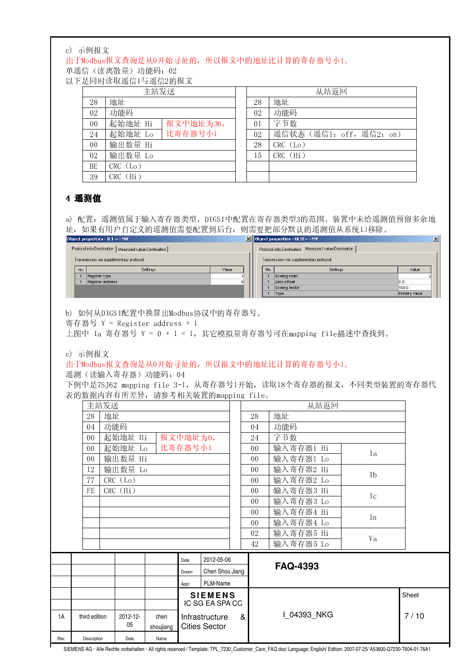#### c) 示例报文

由于Modbus报文查询是从0开始寻址的,所以报文中的地址比计算的寄存器号小1。

单遥信(读离散量)功能码: 02

以下是同时读取遥信1与遥信2的报文

|        | 主站发送                 |    | 从站返回                     |
|--------|----------------------|----|--------------------------|
| 28     | 地址                   | 28 | 地址                       |
| 02     | 功能码                  | 02 | 功能码                      |
| $00\,$ | 起始地址 Hi<br>报文中地址为36, | 01 | 字节数                      |
| 24     | 比寄存器号小1<br>起始地址 Lo   | 02 | 遥信状态 (遥信1: off, 遥信2: on) |
| 00     | 输出数量 Hi              | 28 | CRC (Lo)                 |
| 02     | 输出数量 Lo              | 15 | $CRC$ $(Hi)$             |
| BE     | CRC (Lo)             |    |                          |
| 39     | CRC (Hi)             |    |                          |

## 4 遥测值

a) 配置: 遥测值属于输入寄存器类型, DIGSI中配置在寄存器类型3的范围。装置中未给遥测值预留多余地 址, 如果有用户自定义的遥测值需要配置到后台, 则需要把部分默认的遥测值从系统口移除。

| Object properties - IL1 = - MY                         |     |                                          |       |  |     | $\mathbf{X}$ Object properties - UL1E= - MV             |               | $\mathbf{x}$ |
|--------------------------------------------------------|-----|------------------------------------------|-------|--|-----|---------------------------------------------------------|---------------|--------------|
| Protocol info-Destination   Measured value-Destination |     |                                          |       |  |     | Measured value-Destination<br>Protocol info-Destination |               |              |
|                                                        |     | Transmission via supplementary protocol: |       |  |     | Transmission via supplementary protocol:                |               |              |
|                                                        | No. | Settings                                 | Value |  | No. | Settings                                                | Value         |              |
|                                                        |     | Register type                            |       |  |     | Scaling index                                           |               |              |
|                                                        |     | Register address                         |       |  |     | Zero offset                                             | 10.0          |              |
|                                                        |     |                                          |       |  |     | Scaling factor                                          | 100.0         |              |
|                                                        |     |                                          |       |  |     | Type                                                    | Primary value |              |
|                                                        |     |                                          |       |  |     |                                                         |               |              |

b) 如何从DIGSI配置中换算出Modbus协议中的寄存器号。

寄存器号 Y = Register address + 1

上图中 Ia 寄存器号 Y = 0 + 1 = 1, 其它模拟量寄存器号可在mapping file描述中查找到。

c) 示例报文

由于Modbus报文查询是从0开始寻址的,所以报文中的地址比计算的寄存器号小1。

遥测(读输入寄存器)功能码: 04

下例中是7SJ62 mapping file 3-1, 从寄存器号1开始, 读取18个寄存器的报文, 不同类型装置的寄存器代 表的数据内容有所差异, 请参考相关装置的mapping file。

|      |             | 主站发送                                  |                                |                |           |                     |                      |           |                | 从站返回            |      |  |
|------|-------------|---------------------------------------|--------------------------------|----------------|-----------|---------------------|----------------------|-----------|----------------|-----------------|------|--|
|      |             | 28<br>地址                              |                                |                |           |                     |                      |           | 28             | 地址              |      |  |
|      |             | 功能码<br>04                             |                                |                |           |                     |                      |           | 04             | 功能码             |      |  |
|      |             | 起始地址 Hi<br>报文中地址为0,<br>0 <sub>0</sub> |                                |                |           |                     | 24                   | 字节数       |                |                 |      |  |
|      |             | 比寄存器号小1<br>起始地址 Lo<br>0 <sub>0</sub>  |                                |                |           |                     | 0 <sub>0</sub>       | 输入寄存器1 Hi |                |                 |      |  |
|      |             | 输出数量 Hi<br>0 <sub>0</sub>             |                                |                |           |                     | 0 <sub>0</sub>       | 输入寄存器1 Lo | Ia             |                 |      |  |
|      |             | 12                                    |                                | 输出数量 Lo        |           |                     |                      |           | 0 <sub>0</sub> | 输入寄存器2 Hi       |      |  |
|      |             | CRC (Lo)<br>77                        |                                |                |           |                     |                      |           | $00\,$         | 输入寄存器2 Lo       | Ib   |  |
|      |             | CRC (Hi)<br>FE                        |                                |                |           |                     | 0 <sub>0</sub>       | 输入寄存器3 Hi |                |                 |      |  |
|      |             |                                       |                                |                |           |                     | 0 <sub>0</sub>       | 输入寄存器3 Lo | I c            |                 |      |  |
|      |             |                                       |                                |                |           | 00 <sup>°</sup>     | 输入寄存器4 Hi            |           |                |                 |      |  |
|      |             |                                       |                                |                |           | $00\,$              | 输入寄存器4 Lo            | In        |                |                 |      |  |
|      |             |                                       |                                |                | 02        | 输入寄存器5 Hi           |                      |           |                |                 |      |  |
|      |             |                                       |                                |                | 42        | 输入寄存器5 Lo           | Va                   |           |                |                 |      |  |
|      |             |                                       |                                |                |           | Date                | 2012-05-06           |           |                | <b>FAQ-4393</b> |      |  |
|      |             |                                       |                                |                |           | Drawn               | Chen Shou Jiang      |           |                |                 |      |  |
|      |             |                                       |                                |                |           | Appr.               | PLM-Name             |           |                |                 |      |  |
|      |             |                                       |                                | <b>SIEMENS</b> |           |                     |                      |           | Sheet          |                 |      |  |
|      |             |                                       |                                |                |           | IC SG EA SPA CC     |                      |           |                |                 |      |  |
| 1A   |             |                                       | $2012 - 12 -$<br>third edition |                | chen      | Infrastructure<br>& |                      |           |                | I 04393 NKG     | 7/10 |  |
|      |             |                                       |                                | 05             | shoujiang |                     | <b>Cities Sector</b> |           |                |                 |      |  |
| Rev. | Description |                                       |                                | Date           | Name      |                     |                      |           |                |                 |      |  |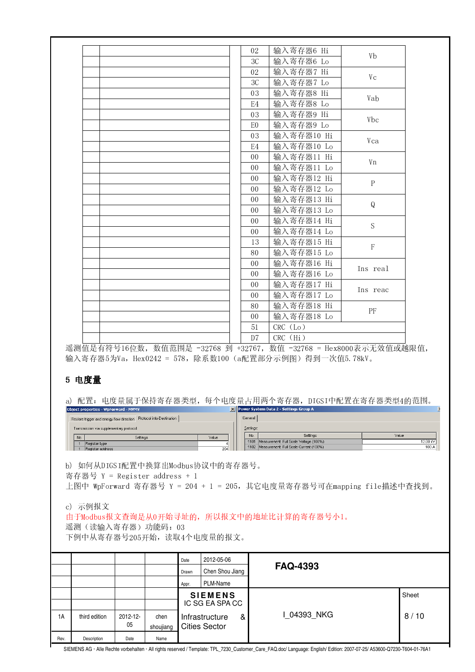|                     | c) 示例报文                           |                                                                                                                 |                               | Date<br>Drawn<br>Appr. | 2012-05-06<br>Chen Shou Jiang<br>PLM-Name |                                  | <b>FAQ-4393</b>                                                                              |              |                   |
|---------------------|-----------------------------------|-----------------------------------------------------------------------------------------------------------------|-------------------------------|------------------------|-------------------------------------------|----------------------------------|----------------------------------------------------------------------------------------------|--------------|-------------------|
|                     |                                   |                                                                                                                 |                               |                        |                                           |                                  |                                                                                              |              |                   |
|                     |                                   |                                                                                                                 |                               |                        |                                           |                                  |                                                                                              |              |                   |
|                     |                                   |                                                                                                                 |                               |                        |                                           |                                  |                                                                                              |              |                   |
|                     |                                   |                                                                                                                 | 遥测(读输入寄存器)功能码: 03             |                        | 下例中从寄存器号205开始, 读取4个电度量的报文。                |                                  | 由于Modbus报文查询是从0开始寻址的, 所以报文中的地址比计算的寄存器号小1。                                                    |              |                   |
|                     |                                   |                                                                                                                 |                               |                        |                                           |                                  |                                                                                              |              |                   |
|                     |                                   |                                                                                                                 | 寄存器号 Y = Register address + 1 |                        | b) 如何从DIGSI配置中换算出Modbus协议中的寄存器号。          |                                  | 上图中 WpForward 寄存器号 Y = 204 + 1 = 205, 其它电度量寄存器号可在mapping file描述中查找到。                         |              |                   |
| No.<br>$\mathbf{1}$ | Register type<br>Register address | Settings                                                                                                        |                               |                        | Value<br>204                              |                                  | 1101 Measurement: Full Scale Voltage (100%)<br>1102 Measurement: Full Scale Current (100%)   |              | 12.00 kV<br>100 A |
|                     |                                   | Restore trigger and energy flow direction Protocol info Destination<br>Transmission via supplementary protocol: |                               |                        |                                           | General<br>Settings:<br>No.      | Settings                                                                                     |              | Value             |
| a)                  |                                   | Object properties - WpForward - MVMV                                                                            |                               |                        |                                           |                                  | 配置:电度量属于保持寄存器类型,每个电度量占用两个寄存器,DIGSI中配置在寄存器类型4的范围。<br>X Power System Data 2 - Settings Group A |              |                   |
|                     | 5 电度量                             |                                                                                                                 |                               |                        |                                           |                                  |                                                                                              |              |                   |
|                     |                                   |                                                                                                                 |                               |                        |                                           |                                  | 输入寄存器5为Va, Hex0242 = 578, 除系数100 (a配置部分示例图) 得到一次值5.78kV。                                     |              |                   |
|                     |                                   |                                                                                                                 |                               |                        |                                           | D <sub>7</sub>                   | 遥测值是有符号16位数, 数值范围是 -32768 到 +32767, 数值 -32768 = Hex8000表示无效值或越限值,                            |              |                   |
|                     |                                   |                                                                                                                 |                               |                        |                                           | 51                               | CRC (Lo)<br>CRC (Hi)                                                                         |              |                   |
|                     |                                   |                                                                                                                 |                               |                        |                                           | 0 <sub>0</sub>                   | 输入寄存器18 Lo                                                                                   | PF           |                   |
|                     |                                   |                                                                                                                 |                               |                        |                                           | 0 <sub>0</sub><br>80             | 输入寄存器17 Lo<br>输入寄存器18 Hi                                                                     |              |                   |
|                     |                                   |                                                                                                                 |                               |                        |                                           | 0 <sub>0</sub>                   | 输入寄存器17 Hi                                                                                   | Ins reac     |                   |
|                     |                                   |                                                                                                                 |                               |                        |                                           | 0 <sub>0</sub><br>0 <sub>0</sub> | 输入寄存器16 Hi<br>输入寄存器16 Lo                                                                     | Ins real     |                   |
|                     |                                   |                                                                                                                 |                               |                        |                                           | 80                               | 输入寄存器15 Lo                                                                                   |              |                   |
|                     |                                   |                                                                                                                 |                               |                        |                                           | 13                               | 输入寄存器15 Hi                                                                                   | $\mathbf F$  |                   |
|                     |                                   |                                                                                                                 |                               |                        |                                           | 0 <sub>0</sub>                   | 输入寄存器14 Lo                                                                                   | S            |                   |
|                     |                                   |                                                                                                                 |                               |                        |                                           | 0 <sub>0</sub><br>0 <sub>0</sub> | 输入寄存器13 Lo<br>输入寄存器14 Hi                                                                     |              |                   |
|                     |                                   |                                                                                                                 |                               |                        |                                           | 0 <sub>0</sub>                   | 输入寄存器13 Hi                                                                                   | Q            |                   |
|                     |                                   |                                                                                                                 |                               |                        |                                           | 0 <sub>0</sub>                   | 输入寄存器12 Lo                                                                                   | $\, {\bf P}$ |                   |
|                     |                                   |                                                                                                                 |                               |                        |                                           | 0 <sub>0</sub>                   | 输入寄存器12 Hi                                                                                   |              |                   |
|                     |                                   |                                                                                                                 |                               |                        |                                           | 0 <sub>0</sub><br>0 <sub>0</sub> | 输入寄存器11 Hi<br>输入寄存器11 Lo                                                                     | Vn           |                   |
|                     |                                   |                                                                                                                 |                               |                        |                                           | E <sub>4</sub>                   | 输入寄存器10 Lo                                                                                   |              |                   |
|                     |                                   |                                                                                                                 |                               |                        |                                           | 03                               | 输入寄存器10 Hi                                                                                   | Vca          |                   |
|                     |                                   |                                                                                                                 |                               |                        |                                           | E <sub>0</sub>                   | 输入寄存器9 Lo                                                                                    | <b>Vbc</b>   |                   |
|                     |                                   |                                                                                                                 |                               |                        |                                           | E <sub>4</sub><br>03             | 输入寄存器8 Lo<br>输入寄存器9 Hi                                                                       |              |                   |
|                     |                                   |                                                                                                                 |                               |                        |                                           | 03                               | 输入寄存器8 Hi                                                                                    | Vab          |                   |
|                     |                                   |                                                                                                                 |                               |                        |                                           | 3C                               | 输入寄存器7 Lo                                                                                    | Vc           |                   |
|                     |                                   |                                                                                                                 |                               |                        |                                           | 02                               | 输入寄存器7 Hi                                                                                    |              |                   |
|                     |                                   |                                                                                                                 |                               |                        |                                           | 02<br>3C                         | 输入寄存器6 Hi<br>输入寄存器6 Lo                                                                       | Vb           |                   |

SIEMENS AG · Alle Rechte vorbehalten · All rights reserved / Template: TPL\_7230\_Customer\_Care\_FAQ.doc/ Language: English/ Edition: 2007-07-25/ A53600-Q7230-T604-01-76A1

 $\pmb{\mathcal{S}}$ 

 $1A$ 

Rev.

third edition

Description

2012-12-

05

Date

 $chen$ 

shoujiang

Name

Infrastructure

**Cities Sector** 

I\_04393\_NKG

 $8/10$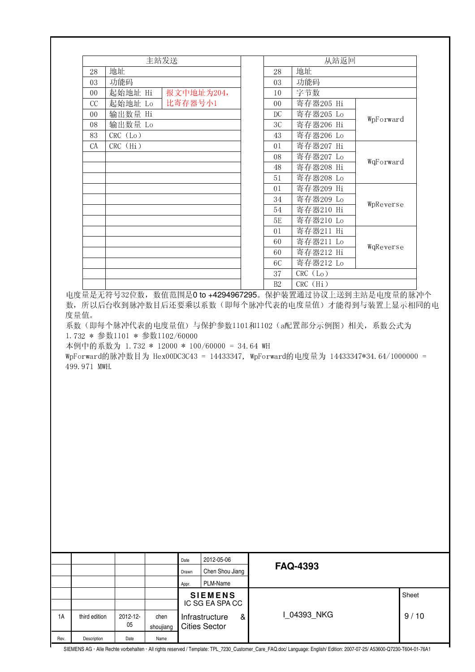|                      |                               | 主站发送 |                        |                                              |   |                | 从站返回                                                                                                                                  |           |                                                                                                              |
|----------------------|-------------------------------|------|------------------------|----------------------------------------------|---|----------------|---------------------------------------------------------------------------------------------------------------------------------------|-----------|--------------------------------------------------------------------------------------------------------------|
| 28                   | 地址                            |      |                        |                                              |   | 28             | 地址                                                                                                                                    |           |                                                                                                              |
| 03                   | 功能码                           |      |                        |                                              |   | 03             | 功能码                                                                                                                                   |           | 电度量是无符号32位数, 数值范围是0 to +4294967295。保护装置通过协议上送到主站是电度量的脉冲个<br>数, 所以后台收到脉冲数目后还要乘以系数(即每个脉冲代表的电度量值)才能得到与装置上显示相同的电 |
| $00\,$               | 起始地址 Hi                       |      |                        | 报文中地址为204,                                   |   | 10             | 字节数                                                                                                                                   |           |                                                                                                              |
| CC                   | 起始地址 Lo                       |      | 比寄存器号小1                |                                              |   | 0 <sub>0</sub> | 寄存器205 Hi                                                                                                                             |           |                                                                                                              |
| $00\,$               | 输出数量 Hi                       |      |                        |                                              |   | DC             | 寄存器205 Lo                                                                                                                             |           |                                                                                                              |
| 08                   | 输出数量 Lo                       |      |                        |                                              |   | 3C             | 寄存器206 Hi                                                                                                                             | WpForward |                                                                                                              |
| 83                   | CRC (Lo)                      |      |                        |                                              |   | 43             | 寄存器206 Lo                                                                                                                             |           |                                                                                                              |
| CA                   | CRC (Hi)                      |      |                        |                                              |   | 01             | 寄存器207 Hi                                                                                                                             |           |                                                                                                              |
|                      |                               |      |                        |                                              |   | 08             | 寄存器207 Lo                                                                                                                             |           |                                                                                                              |
|                      |                               |      |                        |                                              |   | 48             | 寄存器208 Hi                                                                                                                             | WqForward |                                                                                                              |
|                      |                               |      |                        |                                              |   | 51             | 寄存器208 Lo                                                                                                                             |           |                                                                                                              |
|                      |                               |      |                        |                                              |   | 01             | 寄存器209 Hi                                                                                                                             |           |                                                                                                              |
|                      |                               |      |                        |                                              |   | 34             | 寄存器209 Lo                                                                                                                             |           |                                                                                                              |
|                      |                               |      |                        |                                              |   | 54             | 寄存器210 Hi                                                                                                                             | WpReverse |                                                                                                              |
|                      |                               |      |                        |                                              |   | 5E             | 寄存器210 Lo                                                                                                                             |           |                                                                                                              |
|                      |                               |      |                        |                                              |   | 01             | 寄存器211 Hi                                                                                                                             |           |                                                                                                              |
|                      |                               |      |                        |                                              |   | 60             | 寄存器211 Lo                                                                                                                             |           |                                                                                                              |
|                      |                               |      |                        |                                              |   | 60             | 寄存器212 Hi                                                                                                                             | WqReverse |                                                                                                              |
|                      |                               |      |                        |                                              |   | <b>6C</b>      | 寄存器212 Lo                                                                                                                             |           |                                                                                                              |
|                      |                               |      |                        |                                              |   | 37             | CRC (Lo)                                                                                                                              |           |                                                                                                              |
|                      |                               |      |                        |                                              |   | B2             | CRC (Hi)                                                                                                                              |           |                                                                                                              |
|                      |                               |      |                        |                                              |   |                |                                                                                                                                       |           |                                                                                                              |
|                      | 1.732 * 参数1101 * 参数1102/60000 |      |                        | 本例中的系数为 1.732 * 12000 * 100/60000 = 34.64 WH |   |                | 系数(即每个脉冲代表的电度量值)与保护参数1101和1102 (a配置部分示例图)相关, 系数公式为<br>WpForward的脉冲数目为 Hex00DC3C43 = 14433347, WpForward的电度量为 14433347*34.64/1000000 = |           |                                                                                                              |
| 度量值。<br>499.971 MWH. |                               |      |                        |                                              |   |                |                                                                                                                                       |           |                                                                                                              |
|                      |                               |      | Date<br>Drawn<br>Appr. | 2012-05-06<br>Chen Shou Jiang<br>PLM-Name    |   |                | <b>FAQ-4393</b>                                                                                                                       |           |                                                                                                              |
|                      |                               |      |                        | <b>SIEMENS</b>                               |   |                |                                                                                                                                       |           | Sheet                                                                                                        |
| third edition        | 2012-12-                      | chen |                        | IC SG EA SPA CC<br>Infrastructure            | & |                | I_04393_NKG                                                                                                                           |           | 9/10                                                                                                         |

SIEMENS AG · Alle Rechte vorbehalten · All rights reserved / Template: TPL\_7230\_Customer\_Care\_FAQ.doc/ Language: English/ Edition: 2007-07-25/ A53600-Q7230-T604-01-76A1

Rev. Description Date Name